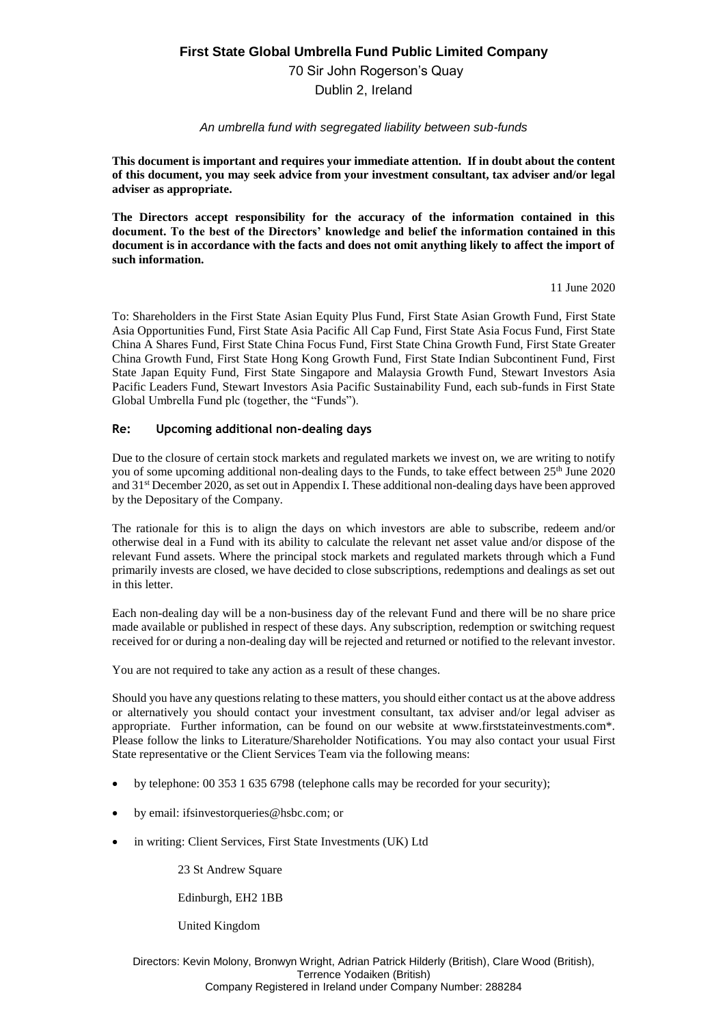# **First State Global Umbrella Fund Public Limited Company**

70 Sir John Rogerson's Quay

Dublin 2, Ireland

## *An umbrella fund with segregated liability between sub-funds*

**This document is important and requires your immediate attention. If in doubt about the content of this document, you may seek advice from your investment consultant, tax adviser and/or legal adviser as appropriate.**

**The Directors accept responsibility for the accuracy of the information contained in this document. To the best of the Directors' knowledge and belief the information contained in this document is in accordance with the facts and does not omit anything likely to affect the import of such information.**

11 June 2020

To: Shareholders in the First State Asian Equity Plus Fund, First State Asian Growth Fund, First State Asia Opportunities Fund, First State Asia Pacific All Cap Fund, First State Asia Focus Fund, First State China A Shares Fund, First State China Focus Fund, First State China Growth Fund, First State Greater China Growth Fund, First State Hong Kong Growth Fund, First State Indian Subcontinent Fund, First State Japan Equity Fund, First State Singapore and Malaysia Growth Fund, Stewart Investors Asia Pacific Leaders Fund, Stewart Investors Asia Pacific Sustainability Fund, each sub-funds in First State Global Umbrella Fund plc (together, the "Funds").

## **Re: Upcoming additional non-dealing days**

Due to the closure of certain stock markets and regulated markets we invest on, we are writing to notify you of some upcoming additional non-dealing days to the Funds, to take effect between 25<sup>th</sup> June 2020 and 31st December 2020, as set out in Appendix I. These additional non-dealing days have been approved by the Depositary of the Company.

The rationale for this is to align the days on which investors are able to subscribe, redeem and/or otherwise deal in a Fund with its ability to calculate the relevant net asset value and/or dispose of the relevant Fund assets. Where the principal stock markets and regulated markets through which a Fund primarily invests are closed, we have decided to close subscriptions, redemptions and dealings as set out in this letter.

Each non-dealing day will be a non-business day of the relevant Fund and there will be no share price made available or published in respect of these days. Any subscription, redemption or switching request received for or during a non-dealing day will be rejected and returned or notified to the relevant investor.

You are not required to take any action as a result of these changes.

Should you have any questions relating to these matters, you should either contact us at the above address or alternatively you should contact your investment consultant, tax adviser and/or legal adviser as appropriate. Further information, can be found on our website at www.firststateinvestments.com\*. Please follow the links to Literature/Shareholder Notifications. You may also contact your usual First State representative or the Client Services Team via the following means:

- by telephone: 00 353 1 635 6798 (telephone calls may be recorded for your security);
- by email: ifsinvestorqueries@hsbc.com; or
- in writing: Client Services, First State Investments (UK) Ltd

23 St Andrew Square

Edinburgh, EH2 1BB

United Kingdom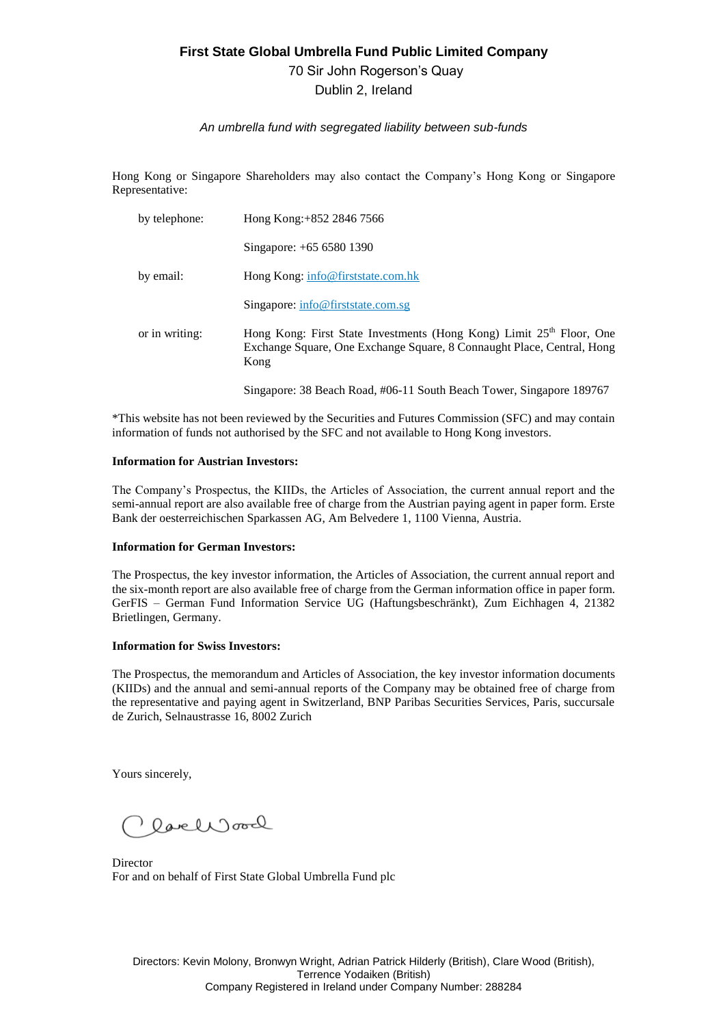# **First State Global Umbrella Fund Public Limited Company**

70 Sir John Rogerson's Quay

Dublin 2, Ireland

## *An umbrella fund with segregated liability between sub-funds*

Hong Kong or Singapore Shareholders may also contact the Company's Hong Kong or Singapore Representative:

| by telephone:  | Hong Kong: +852 2846 7566                                                                                                                                          |
|----------------|--------------------------------------------------------------------------------------------------------------------------------------------------------------------|
|                | Singapore: +65 6580 1390                                                                                                                                           |
| by email:      | Hong Kong: info@firststate.com.hk                                                                                                                                  |
|                | Singapore: $info@firststate.com.sg$                                                                                                                                |
| or in writing: | Hong Kong: First State Investments (Hong Kong) Limit 25 <sup>th</sup> Floor, One<br>Exchange Square, One Exchange Square, 8 Connaught Place, Central, Hong<br>Kong |
|                | Singapore: 38 Beach Road, #06-11 South Beach Tower, Singapore 189767                                                                                               |

\*This website has not been reviewed by the Securities and Futures Commission (SFC) and may contain information of funds not authorised by the SFC and not available to Hong Kong investors.

## **Information for Austrian Investors:**

The Company's Prospectus, the KIIDs, the Articles of Association, the current annual report and the semi-annual report are also available free of charge from the Austrian paying agent in paper form. Erste Bank der oesterreichischen Sparkassen AG, Am Belvedere 1, 1100 Vienna, Austria.

#### **Information for German Investors:**

The Prospectus, the key investor information, the Articles of Association, the current annual report and the six-month report are also available free of charge from the German information office in paper form. GerFIS – German Fund Information Service UG (Haftungsbeschränkt), Zum Eichhagen 4, 21382 Brietlingen, Germany.

## **Information for Swiss Investors:**

The Prospectus, the memorandum and Articles of Association, the key investor information documents (KIIDs) and the annual and semi-annual reports of the Company may be obtained free of charge from the representative and paying agent in Switzerland, BNP Paribas Securities Services, Paris, succursale de Zurich, Selnaustrasse 16, 8002 Zurich

Yours sincerely,

lachroad

**Director** For and on behalf of First State Global Umbrella Fund plc